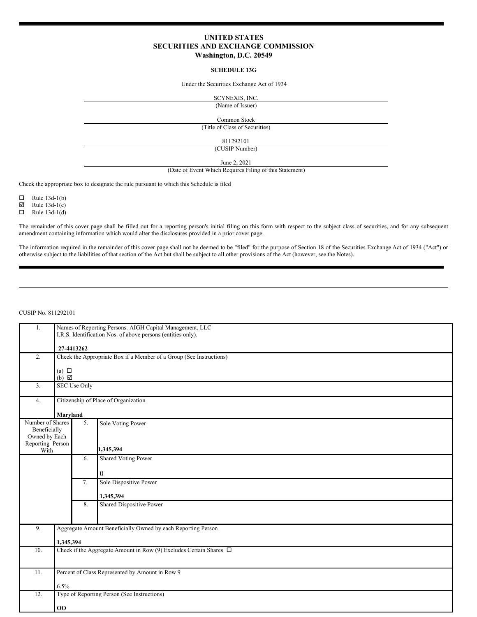# **UNITED STATES SECURITIES AND EXCHANGE COMMISSION Washington, D.C. 20549**

#### **SCHEDULE 13G**

Under the Securities Exchange Act of 1934

SCYNEXIS, INC.

(Name of Issuer)

Common Stock

(Title of Class of Securities)

811292101

(CUSIP Number)

June 2, 2021

(Date of Event Which Requires Filing of this Statement)

Check the appropriate box to designate the rule pursuant to which this Schedule is filed

 $\Box$  Rule 13d-1(b)

 $\boxtimes$  Rule 13d-1(c)

 $\Box$  Rule 13d-1(d)

The remainder of this cover page shall be filled out for a reporting person's initial filing on this form with respect to the subject class of securities, and for any subsequent amendment containing information which would alter the disclosures provided in a prior cover page.

The information required in the remainder of this cover page shall not be deemed to be "filed" for the purpose of Section 18 of the Securities Exchange Act of 1934 ("Act") or otherwise subject to the liabilities of that section of the Act but shall be subject to all other provisions of the Act (however, see the Notes).

## CUSIP No. 811292101

| 1.                                                | Names of Reporting Persons. AIGH Capital Management, LLC<br>I.R.S. Identification Nos. of above persons (entities only). |                                                 |                                             |  |  |  |  |
|---------------------------------------------------|--------------------------------------------------------------------------------------------------------------------------|-------------------------------------------------|---------------------------------------------|--|--|--|--|
|                                                   |                                                                                                                          | 27-4413262                                      |                                             |  |  |  |  |
| 2.                                                | Check the Appropriate Box if a Member of a Group (See Instructions)                                                      |                                                 |                                             |  |  |  |  |
|                                                   | (a) $\Box$<br>$(b)$ $\boxtimes$                                                                                          |                                                 |                                             |  |  |  |  |
| 3.                                                | <b>SEC Use Only</b>                                                                                                      |                                                 |                                             |  |  |  |  |
| 4.                                                | Citizenship of Place of Organization                                                                                     |                                                 |                                             |  |  |  |  |
|                                                   |                                                                                                                          | Maryland                                        |                                             |  |  |  |  |
| Number of Shares<br>Beneficially<br>Owned by Each |                                                                                                                          | 5.                                              | Sole Voting Power                           |  |  |  |  |
| Reporting Person<br>With                          |                                                                                                                          |                                                 | 1,345,394                                   |  |  |  |  |
|                                                   |                                                                                                                          | 6.                                              | <b>Shared Voting Power</b>                  |  |  |  |  |
|                                                   |                                                                                                                          |                                                 | $\overline{0}$                              |  |  |  |  |
|                                                   |                                                                                                                          | 7.                                              | Sole Dispositive Power                      |  |  |  |  |
|                                                   |                                                                                                                          |                                                 | 1,345,394                                   |  |  |  |  |
|                                                   |                                                                                                                          | 8.                                              | <b>Shared Dispositive Power</b>             |  |  |  |  |
| 9.                                                | Aggregate Amount Beneficially Owned by each Reporting Person                                                             |                                                 |                                             |  |  |  |  |
|                                                   | 1,345,394                                                                                                                |                                                 |                                             |  |  |  |  |
| 10.                                               | Check if the Aggregate Amount in Row (9) Excludes Certain Shares $\Box$                                                  |                                                 |                                             |  |  |  |  |
| 11.                                               |                                                                                                                          | Percent of Class Represented by Amount in Row 9 |                                             |  |  |  |  |
|                                                   | 6.5%                                                                                                                     |                                                 |                                             |  |  |  |  |
| 12.                                               |                                                                                                                          |                                                 | Type of Reporting Person (See Instructions) |  |  |  |  |
|                                                   | 00                                                                                                                       |                                                 |                                             |  |  |  |  |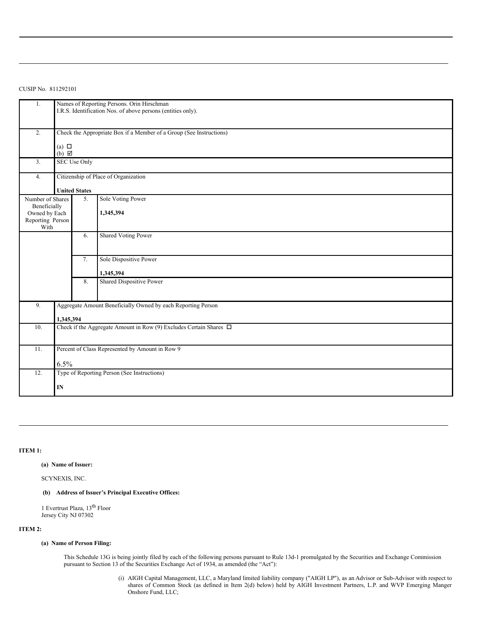CUSIP No. 811292101

| 1.                            | Names of Reporting Persons. Orin Hirschman<br>I.R.S. Identification Nos. of above persons (entities only). |                      |                            |  |  |  |  |
|-------------------------------|------------------------------------------------------------------------------------------------------------|----------------------|----------------------------|--|--|--|--|
| 2.                            | Check the Appropriate Box if a Member of a Group (See Instructions)                                        |                      |                            |  |  |  |  |
|                               | (a) $\Box$                                                                                                 |                      |                            |  |  |  |  |
|                               | $(b)$ $\boxtimes$                                                                                          |                      |                            |  |  |  |  |
| 3.                            | <b>SEC Use Only</b>                                                                                        |                      |                            |  |  |  |  |
| 4.                            | Citizenship of Place of Organization                                                                       |                      |                            |  |  |  |  |
|                               |                                                                                                            | <b>United States</b> |                            |  |  |  |  |
| Number of Shares              |                                                                                                            | 5.                   | Sole Voting Power          |  |  |  |  |
| Beneficially<br>Owned by Each |                                                                                                            |                      | 1,345,394                  |  |  |  |  |
| Reporting Person              |                                                                                                            |                      |                            |  |  |  |  |
| With                          |                                                                                                            | 6.                   | <b>Shared Voting Power</b> |  |  |  |  |
|                               |                                                                                                            |                      |                            |  |  |  |  |
|                               |                                                                                                            |                      |                            |  |  |  |  |
|                               |                                                                                                            | 7.                   | Sole Dispositive Power     |  |  |  |  |
|                               |                                                                                                            |                      | 1,345,394                  |  |  |  |  |
|                               |                                                                                                            | 8.                   | Shared Dispositive Power   |  |  |  |  |
|                               |                                                                                                            |                      |                            |  |  |  |  |
| 9.                            | Aggregate Amount Beneficially Owned by each Reporting Person                                               |                      |                            |  |  |  |  |
|                               | 1,345,394                                                                                                  |                      |                            |  |  |  |  |
| 10.                           | Check if the Aggregate Amount in Row (9) Excludes Certain Shares $\Box$                                    |                      |                            |  |  |  |  |
|                               |                                                                                                            |                      |                            |  |  |  |  |
| 11.                           | Percent of Class Represented by Amount in Row 9                                                            |                      |                            |  |  |  |  |
|                               | 6.5%                                                                                                       |                      |                            |  |  |  |  |
| 12.                           | Type of Reporting Person (See Instructions)                                                                |                      |                            |  |  |  |  |
|                               | IN                                                                                                         |                      |                            |  |  |  |  |
|                               |                                                                                                            |                      |                            |  |  |  |  |

## **ITEM 1:**

## **(a) Name of Issuer:**

SCYNEXIS, INC.

## **(b) Address of Issuer's Principal Executive Offices:**

1 Evertrust Plaza, 13<sup>th</sup> Floor Jersey City NJ 07302

# **ITEM 2:**

## **(a) Name of Person Filing:**

This Schedule 13G is being jointly filed by each of the following persons pursuant to Rule 13d-1 promulgated by the Securities and Exchange Commission pursuant to Section 13 of the Securities Exchange Act of 1934, as amended (the "Act"):

> (i) AIGH Capital Management, LLC, a Maryland limited liability company ("AIGH LP"), as an Advisor or Sub-Advisor with respect to shares of Common Stock (as defined in Item 2(d) below) held by AIGH Investment Partners, L.P. and WVP Emerging Manger Onshore Fund, LLC;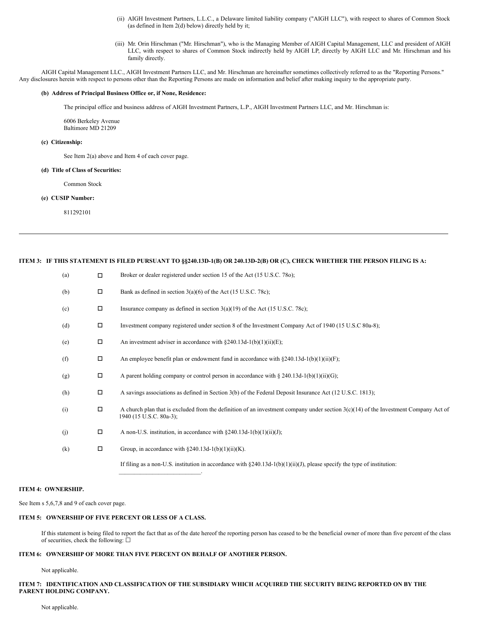- (ii) AIGH Investment Partners, L.L.C., a Delaware limited liability company ("AIGH LLC"), with respect to shares of Common Stock (as defined in Item 2(d) below) directly held by it;
- (iii) Mr. Orin Hirschman ("Mr. Hirschman"), who is the Managing Member of AIGH Capital Management, LLC and president of AIGH LLC, with respect to shares of Common Stock indirectly held by AIGH LP, directly by AIGH LLC and Mr. Hirschman and his family directly.

AIGH Capital Management LLC., AIGH Investment Partners LLC, and Mr. Hirschman are hereinafter sometimes collectively referred to as the "Reporting Persons." Any disclosures herein with respect to persons other than the Reporting Persons are made on information and belief after making inquiry to the appropriate party.

#### **(b) Address of Principal Business Office or, if None, Residence:**

The principal office and business address of AIGH Investment Partners, L.P., AIGH Investment Partners LLC, and Mr. Hirschman is:

6006 Berkeley Avenue Baltimore MD 21209

#### **(c) Citizenship:**

See Item 2(a) above and Item 4 of each cover page.

#### **(d) Title of Class of Securities:**

Common Stock

#### **(e) CUSIP Number:**

811292101

## ITEM 3: IF THIS STATEMENT IS FILED PURSUANT TO §§240.13D-1(B) OR 240.13D-2(B) OR (C), CHECK WHETHER THE PERSON FILING IS A:

| (a) | $\Box$ | Broker or dealer registered under section 15 of the Act (15 U.S.C. 780);                                                                                         |
|-----|--------|------------------------------------------------------------------------------------------------------------------------------------------------------------------|
| (b) | П      | Bank as defined in section $3(a)(6)$ of the Act (15 U.S.C. 78c);                                                                                                 |
| (c) | П      | Insurance company as defined in section $3(a)(19)$ of the Act (15 U.S.C. 78c);                                                                                   |
| (d) | $\Box$ | Investment company registered under section 8 of the Investment Company Act of 1940 (15 U.S.C 80a-8);                                                            |
| (e) | $\Box$ | An investment adviser in accordance with $\S 240.13d-1(b)(1)(ii)(E)$ ;                                                                                           |
| (f) | $\Box$ | An employee benefit plan or endowment fund in accordance with $\S 240.13d-1(b)(1)(ii)(F)$ ;                                                                      |
| (g) | $\Box$ | A parent holding company or control person in accordance with $\S 240.13d-1(b)(1)(ii)(G);$                                                                       |
| (h) | $\Box$ | A savings associations as defined in Section 3(b) of the Federal Deposit Insurance Act (12 U.S.C. 1813);                                                         |
| (i) | $\Box$ | A church plan that is excluded from the definition of an investment company under section $3(c)(14)$ of the Investment Company Act of<br>1940 (15 U.S.C. 80a-3); |
| (i) | П      | A non-U.S. institution, in accordance with $\S 240.13d-1(b)(1)(ii)(J)$ ;                                                                                         |
| (k) | $\Box$ | Group, in accordance with $\S 240.13d-1(b)(1)(ii)(K)$ .                                                                                                          |
|     |        | If filing as a non-U.S. institution in accordance with $\S$ 240.13d-1(b)(1)(ii)(J), please specify the type of institution:                                      |

#### **ITEM 4: OWNERSHIP.**

See Item s 5,6,7,8 and 9 of each cover page.

#### **ITEM 5: OWNERSHIP OF FIVE PERCENT OR LESS OF A CLASS.**

If this statement is being filed to report the fact that as of the date hereof the reporting person has ceased to be the beneficial owner of more than five percent of the class of securities, check the following:  $\Box$ 

## **ITEM 6: OWNERSHIP OF MORE THAN FIVE PERCENT ON BEHALF OF ANOTHER PERSON.**

Not applicable.

### ITEM 7: IDENTIFICATION AND CLASSIFICATION OF THE SUBSIDIARY WHICH ACQUIRED THE SECURITY BEING REPORTED ON BY THE **PARENT HOLDING COMPANY.**